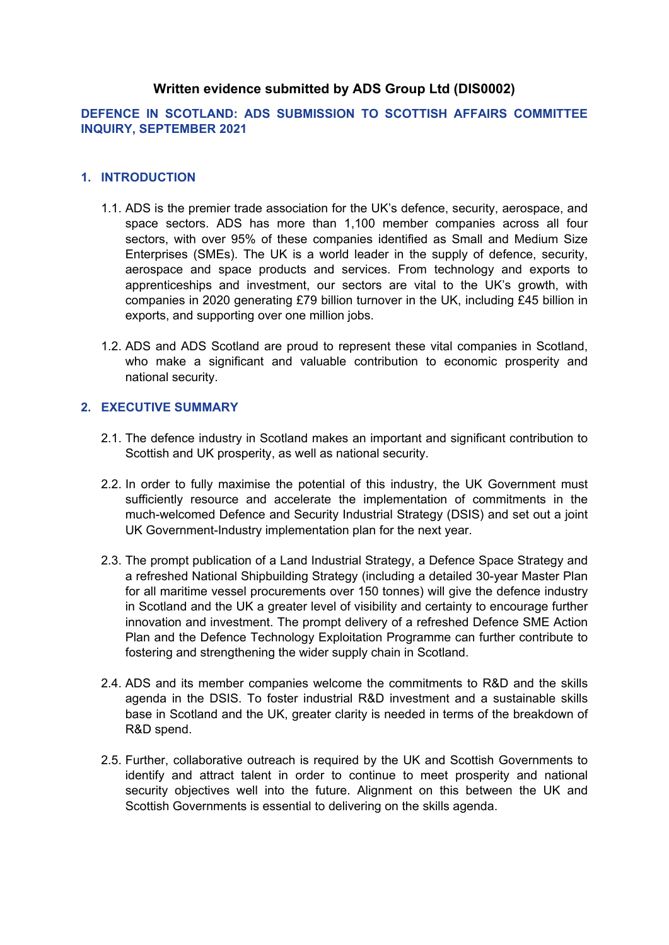# **Written evidence submitted by ADS Group Ltd (DIS0002)**

# **DEFENCE IN SCOTLAND: ADS SUBMISSION TO SCOTTISH AFFAIRS COMMITTEE INQUIRY, SEPTEMBER 2021**

#### **1. INTRODUCTION**

- 1.1. ADS is the premier trade association for the UK's defence, security, aerospace, and space sectors. ADS has more than 1,100 member companies across all four sectors, with over 95% of these companies identified as Small and Medium Size Enterprises (SMEs). The UK is a world leader in the supply of defence, security, aerospace and space products and services. From technology and exports to apprenticeships and investment, our sectors are vital to the UK's growth, with companies in 2020 generating £79 billion turnover in the UK, including £45 billion in exports, and supporting over one million jobs.
- 1.2. ADS and ADS Scotland are proud to represent these vital companies in Scotland, who make a significant and valuable contribution to economic prosperity and national security.

#### **2. EXECUTIVE SUMMARY**

- 2.1. The defence industry in Scotland makes an important and significant contribution to Scottish and UK prosperity, as well as national security.
- 2.2. In order to fully maximise the potential of this industry, the UK Government must sufficiently resource and accelerate the implementation of commitments in the much-welcomed Defence and Security Industrial Strategy (DSIS) and set out a joint UK Government-Industry implementation plan for the next year.
- 2.3. The prompt publication of a Land Industrial Strategy, a Defence Space Strategy and a refreshed National Shipbuilding Strategy (including a detailed 30-year Master Plan for all maritime vessel procurements over 150 tonnes) will give the defence industry in Scotland and the UK a greater level of visibility and certainty to encourage further innovation and investment. The prompt delivery of a refreshed Defence SME Action Plan and the Defence Technology Exploitation Programme can further contribute to fostering and strengthening the wider supply chain in Scotland.
- 2.4. ADS and its member companies welcome the commitments to R&D and the skills agenda in the DSIS. To foster industrial R&D investment and a sustainable skills base in Scotland and the UK, greater clarity is needed in terms of the breakdown of R&D spend.
- 2.5. Further, collaborative outreach is required by the UK and Scottish Governments to identify and attract talent in order to continue to meet prosperity and national security objectives well into the future. Alignment on this between the UK and Scottish Governments is essential to delivering on the skills agenda.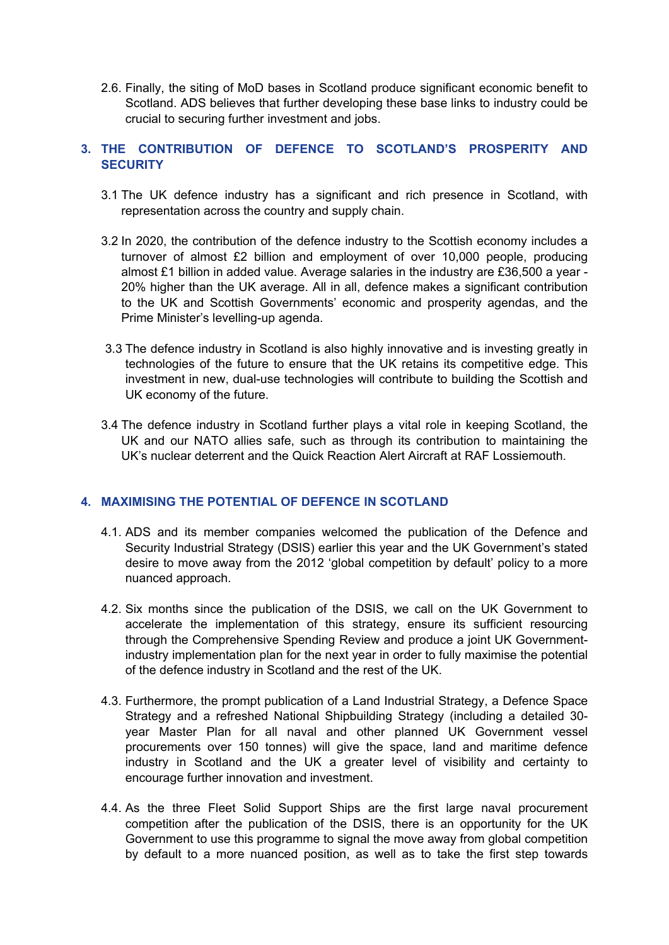2.6. Finally, the siting of MoD bases in Scotland produce significant economic benefit to Scotland. ADS believes that further developing these base links to industry could be crucial to securing further investment and jobs.

### **3. THE CONTRIBUTION OF DEFENCE TO SCOTLAND'S PROSPERITY AND SECURITY**

- 3.1 The UK defence industry has a significant and rich presence in Scotland, with representation across the country and supply chain.
- 3.2 In 2020, the contribution of the defence industry to the Scottish economy includes a turnover of almost £2 billion and employment of over 10,000 people, producing almost £1 billion in added value. Average salaries in the industry are £36,500 a year - 20% higher than the UK average. All in all, defence makes a significant contribution to the UK and Scottish Governments' economic and prosperity agendas, and the Prime Minister's levelling-up agenda.
- 3.3 The defence industry in Scotland is also highly innovative and is investing greatly in technologies of the future to ensure that the UK retains its competitive edge. This investment in new, dual-use technologies will contribute to building the Scottish and UK economy of the future.
- 3.4 The defence industry in Scotland further plays a vital role in keeping Scotland, the UK and our NATO allies safe, such as through its contribution to maintaining the UK's nuclear deterrent and the Quick Reaction Alert Aircraft at RAF Lossiemouth.

# **4. MAXIMISING THE POTENTIAL OF DEFENCE IN SCOTLAND**

- 4.1. ADS and its member companies welcomed the publication of the Defence and Security Industrial Strategy (DSIS) earlier this year and the UK Government's stated desire to move away from the 2012 'global competition by default' policy to a more nuanced approach.
- 4.2. Six months since the publication of the DSIS, we call on the UK Government to accelerate the implementation of this strategy, ensure its sufficient resourcing through the Comprehensive Spending Review and produce a joint UK Governmentindustry implementation plan for the next year in order to fully maximise the potential of the defence industry in Scotland and the rest of the UK.
- 4.3. Furthermore, the prompt publication of a Land Industrial Strategy, a Defence Space Strategy and a refreshed National Shipbuilding Strategy (including a detailed 30 year Master Plan for all naval and other planned UK Government vessel procurements over 150 tonnes) will give the space, land and maritime defence industry in Scotland and the UK a greater level of visibility and certainty to encourage further innovation and investment.
- 4.4. As the three Fleet Solid Support Ships are the first large naval procurement competition after the publication of the DSIS, there is an opportunity for the UK Government to use this programme to signal the move away from global competition by default to a more nuanced position, as well as to take the first step towards